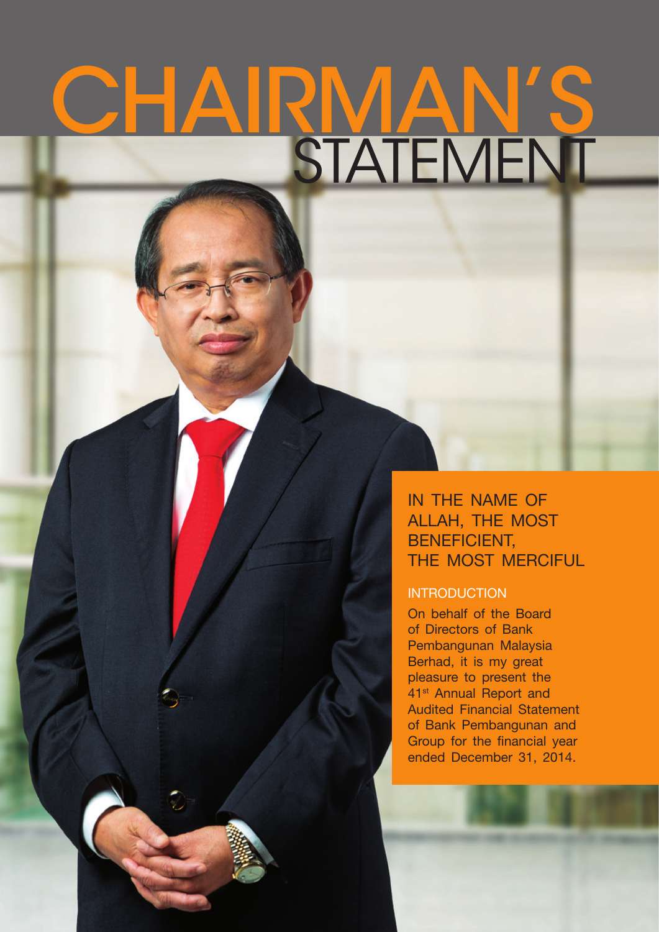# CHAIRMAN' STATEMENT

IN THE NAME OF Allah, the most BENEFICIENT, THE MOST MERCIFUL

# **INTRODUCTION**

On behalf of the Board of Directors of Bank Pembangunan Malaysia Berhad, it is my great pleasure to present the 41st Annual Report and Audited Financial Statement of Bank Pembangunan and Group for the financial year ended December 31, 2014.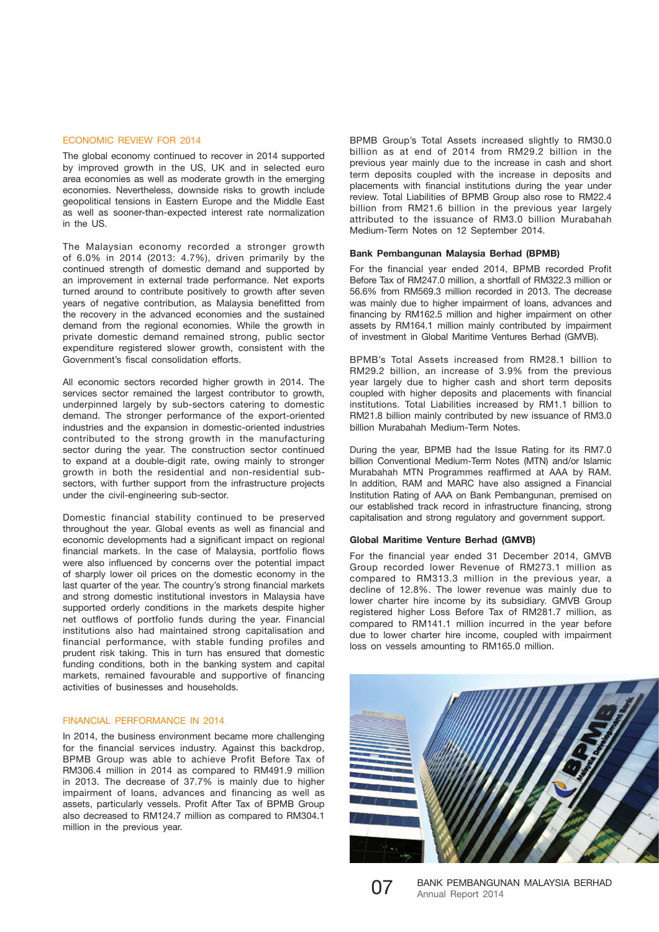#### ECONOMIC REVIEW FOR 2014

The global economy continued to recover in 2014 supported by improved growth in the US, UK and in selected euro area economies as well as moderate growth in the emerging economies. Nevertheless, downside risks to growth include geopolitical tensions in Eastern Europe and the Middle East as well as sooner-than-expected interest rate normalization in the US.

The Malaysian economy recorded a stronger growth of 6.0% in 2014 (2013: 4.7%), driven primarily by the continued strength of domestic demand and supported by an improvement in external trade performance. Net exports turned around to contribute positively to growth after seven years of negative contribution, as Malaysia benefitted from the recovery in the advanced economies and the sustained demand from the regional economies. While the growth in private domestic demand remained strong, public sector expenditure registered slower growth, consistent with the Government's fiscal consolidation efforts.

All economic sectors recorded higher growth in 2014. The services sector remained the largest contributor to growth, underpinned largely by sub-sectors catering to domestic demand. The stronger performance of the export-oriented industries and the expansion in domestic-oriented industries contributed to the strong growth in the manufacturing sector during the year. The construction sector continued to expand at a double-digit rate, owing mainly to stronger growth in both the residential and non-residential subsectors, with further support from the infrastructure projects under the civil-engineering sub-sector.

Domestic financial stability continued to be preserved throughout the year. Global events as well as financial and economic developments had a significant impact on regional financial markets. In the case of Malaysia, portfolio flows were also influenced by concerns over the potential impact of sharply lower oil prices on the domestic economy in the last quarter of the year. The country's strong financial markets and strong domestic institutional investors in Malaysia have supported orderly conditions in the markets despite higher net outflows of portfolio funds during the year. Financial institutions also had maintained strong capitalisation and financial performance, with stable funding profiles and prudent risk taking. This in turn has ensured that domestic funding conditions, both in the banking system and capital markets, remained favourable and supportive of financing activities of businesses and households.

### FINANCIAL PERFORMANCE IN 2014

In 2014, the business environment became more challenging for the financial services industry. Against this backdrop, BPMB Group was able to achieve Profit Before Tax of RM306.4 million in 2014 as compared to RM491.9 million in 2013. The decrease of 37.7% is mainly due to higher impairment of loans, advances and financing as well as assets, particularly vessels. Profit After Tax of BPMB Group also decreased to RM124.7 million as compared to RM304.1 million in the previous year.

BPMB Group's Total Assets increased slightly to RM30.0 billion as at end of 2014 from RM29.2 billion in the previous year mainly due to the increase in cash and short term deposits coupled with the increase in deposits and placements with financial institutions during the year under review. Total Liabilities of BPMB Group also rose to RM22.4 billion from RM21.6 billion in the previous year largely attributed to the issuance of RM3.0 billion Murabahah Medium-Term Notes on 12 September 2014.

#### **Bank Pembangunan Malaysia Berhad (BPMB)**

For the financial year ended 2014, BPMB recorded Profit Before Tax of RM247.0 million, a shortfall of RM322.3 million or 56.6% from RM569.3 million recorded in 2013. The decrease was mainly due to higher impairment of loans, advances and financing by RM162.5 million and higher impairment on other assets by RM164.1 million mainly contributed by impairment of investment in Global Maritime Ventures Berhad (GMVB).

BPMB's Total Assets increased from RM28.1 billion to RM29.2 billion, an increase of 3.9% from the previous year largely due to higher cash and short term deposits coupled with higher deposits and placements with financial institutions. Total Liabilities increased by RM1.1 billion to RM21.8 billion mainly contributed by new issuance of RM3.0 billion Murabahah Medium-Term Notes.

During the year, BPMB had the Issue Rating for its RM7.0 billion Conventional Medium-Term Notes (MTN) and/or Islamic Murabahah MTN Programmes reaffirmed at AAA by RAM. In addition, RAM and MARC have also assigned a Financial Institution Rating of AAA on Bank Pembangunan, premised on our established track record in infrastructure financing, strong capitalisation and strong regulatory and government support.

#### **Global Maritime Venture Berhad (GMVB)**

For the financial year ended 31 December 2014, GMVB Group recorded lower Revenue of RM273.1 million as compared to RM313.3 million in the previous year, a decline of 12.8%. The lower revenue was mainly due to lower charter hire income by its subsidiary. GMVB Group registered higher Loss Before Tax of RM281.7 million, as compared to RM141.1 million incurred in the year before due to lower charter hire income, coupled with impairment loss on vessels amounting to RM165.0 million.





07 BANK PEMBANGUNAN MALAYSIA BERHAD<br>Annual Report 2014